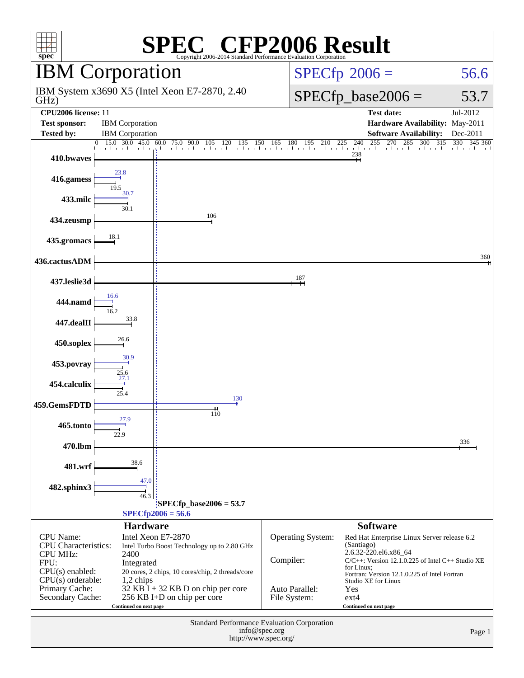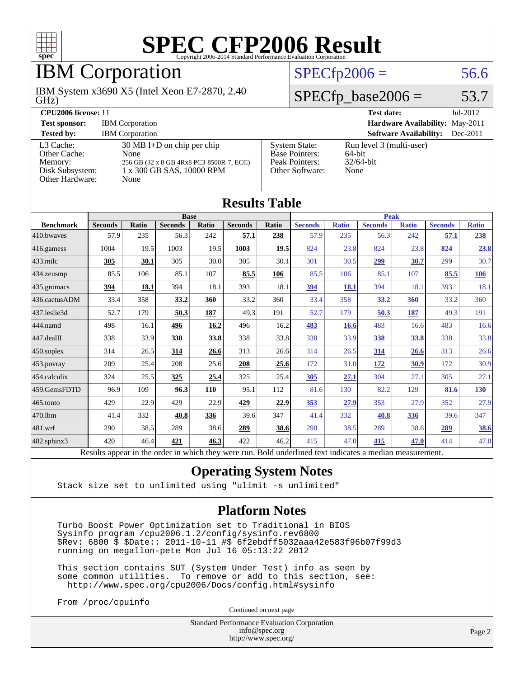

### IBM Corporation

GHz) IBM System x3690 X5 (Intel Xeon E7-2870, 2.40

#### **[Tested by:](http://www.spec.org/auto/cpu2006/Docs/result-fields.html#Testedby)** IBM Corporation **[Software Availability:](http://www.spec.org/auto/cpu2006/Docs/result-fields.html#SoftwareAvailability)** Dec-2011 [L3 Cache:](http://www.spec.org/auto/cpu2006/Docs/result-fields.html#L3Cache) 30 MB I+D on chip per chip<br>Other Cache: None [Other Cache:](http://www.spec.org/auto/cpu2006/Docs/result-fields.html#OtherCache) [Memory:](http://www.spec.org/auto/cpu2006/Docs/result-fields.html#Memory) 256 GB (32 x 8 GB 4Rx8 PC3-8500R-7, ECC) [Disk Subsystem:](http://www.spec.org/auto/cpu2006/Docs/result-fields.html#DiskSubsystem) 1 x 300 GB SAS, 10000 RPM [Other Hardware:](http://www.spec.org/auto/cpu2006/Docs/result-fields.html#OtherHardware) None

| ,,,,,,                          |                                              |  |                                               |                                    |          |
|---------------------------------|----------------------------------------------|--|-----------------------------------------------|------------------------------------|----------|
| CPU <sub>2006</sub> license: 11 |                                              |  | <b>Test date:</b>                             | Jul-2012                           |          |
| <b>Test sponsor:</b>            | <b>IBM</b> Corporation                       |  |                                               | Hardware Availability: May-2011    |          |
| <b>Tested by:</b>               | <b>IBM</b> Corporation                       |  |                                               | <b>Software Availability:</b>      | Dec-2011 |
| L3 Cache:<br>Other Cache:       | $30 \text{ MB I+D}$ on chip per chip<br>None |  | <b>System State:</b><br><b>Base Pointers:</b> | Run level 3 (multi-user)<br>64-bit |          |
|                                 |                                              |  |                                               |                                    |          |

Run level 3 (multi-user)<br>64-bit [Peak Pointers:](http://www.spec.org/auto/cpu2006/Docs/result-fields.html#PeakPointers) 32/64-bit [Other Software:](http://www.spec.org/auto/cpu2006/Docs/result-fields.html#OtherSoftware) None

 $SPECfp2006 = 56.6$  $SPECfp2006 = 56.6$ 

SPECfp base2006 =  $53.7$ 

| <b>Results Table</b> |                                                                                                          |              |                |       |                |       |                |              |                |              |                |              |
|----------------------|----------------------------------------------------------------------------------------------------------|--------------|----------------|-------|----------------|-------|----------------|--------------|----------------|--------------|----------------|--------------|
|                      | <b>Base</b>                                                                                              |              |                |       |                |       | <b>Peak</b>    |              |                |              |                |              |
| <b>Benchmark</b>     | <b>Seconds</b>                                                                                           | <b>Ratio</b> | <b>Seconds</b> | Ratio | <b>Seconds</b> | Ratio | <b>Seconds</b> | <b>Ratio</b> | <b>Seconds</b> | <b>Ratio</b> | <b>Seconds</b> | <b>Ratio</b> |
| 410.bwayes           | 57.9                                                                                                     | 235          | 56.3           | 242   | 57.1           | 238   | 57.9           | 235          | 56.3           | 242          | 57.1           | 238          |
| 416.gamess           | 1004                                                                                                     | 19.5         | 1003           | 19.5  | 1003           | 19.5  | 824            | 23.8         | 824            | 23.8         | 824            | 23.8         |
| $433$ .milc          | 305                                                                                                      | 30.1         | 305            | 30.0  | 305            | 30.1  | 301            | 30.5         | 299            | 30.7         | 299            | 30.7         |
| 434.zeusmp           | 85.5                                                                                                     | 106          | 85.1           | 107   | 85.5           | 106   | 85.5           | 106          | 85.1           | 107          | 85.5           | <u>106</u>   |
| 435.gromacs          | 394                                                                                                      | 18.1         | 394            | 18.1  | 393            | 18.1  | 394            | 18.1         | 394            | 18.1         | 393            | 18.1         |
| 436.cactusADM        | 33.4                                                                                                     | 358          | 33.2           | 360   | 33.2           | 360   | 33.4           | 358          | 33.2           | 360          | 33.2           | 360          |
| 437.leslie3d         | 52.7                                                                                                     | 179          | 50.3           | 187   | 49.3           | 191   | 52.7           | 179          | 50.3           | 187          | 49.3           | 191          |
| 444.namd             | 498                                                                                                      | 16.1         | 496            | 16.2  | 496            | 16.2  | 483            | <b>16.6</b>  | 483            | 16.6         | 483            | 16.6         |
| 447.dealII           | 338                                                                                                      | 33.9         | 338            | 33.8  | 338            | 33.8  | 338            | 33.9         | 338            | 33.8         | 338            | 33.8         |
| 450.soplex           | 314                                                                                                      | 26.5         | 314            | 26.6  | 313            | 26.6  | 314            | 26.5         | 314            | 26.6         | 313            | 26.6         |
| 453.povray           | 209                                                                                                      | 25.4         | 208            | 25.6  | 208            | 25.6  | 172            | 31.0         | 172            | 30.9         | 172            | 30.9         |
| 454.calculix         | 324                                                                                                      | 25.5         | 325            | 25.4  | 325            | 25.4  | 305            | 27.1         | 304            | 27.1         | 305            | 27.1         |
| 459.GemsFDTD         | 96.9                                                                                                     | 109          | 96.3           | 110   | 95.1           | 112   | 81.6           | 130          | 82.2           | 129          | 81.6           | <u>130</u>   |
| 465.tonto            | 429                                                                                                      | 22.9         | 429            | 22.9  | 429            | 22.9  | 353            | 27.9         | 353            | 27.9         | 352            | 27.9         |
| 470.1bm              | 41.4                                                                                                     | 332          | 40.8           | 336   | 39.6           | 347   | 41.4           | 332          | 40.8           | 336          | 39.6           | 347          |
| 481.wrf              | 290                                                                                                      | 38.5         | 289            | 38.6  | 289            | 38.6  | 290            | 38.5         | 289            | 38.6         | 289            | 38.6         |
| $482$ .sphinx $3$    | 420                                                                                                      | 46.4         | 421            | 46.3  | 422            | 46.2  | 415            | 47.0         | 415            | 47.0         | 414            | 47.0         |
|                      | Results appear in the order in which they were run. Bold underlined text indicates a median measurement. |              |                |       |                |       |                |              |                |              |                |              |

#### **[Operating System Notes](http://www.spec.org/auto/cpu2006/Docs/result-fields.html#OperatingSystemNotes)**

Stack size set to unlimited using "ulimit -s unlimited"

#### **[Platform Notes](http://www.spec.org/auto/cpu2006/Docs/result-fields.html#PlatformNotes)**

 Turbo Boost Power Optimization set to Traditional in BIOS Sysinfo program /cpu2006.1.2/config/sysinfo.rev6800 \$Rev: 6800 \$ \$Date:: 2011-10-11 #\$ 6f2ebdff5032aaa42e583f96b07f99d3 running on megallon-pete Mon Jul 16 05:13:22 2012

 This section contains SUT (System Under Test) info as seen by some common utilities. To remove or add to this section, see: <http://www.spec.org/cpu2006/Docs/config.html#sysinfo>

From /proc/cpuinfo

Continued on next page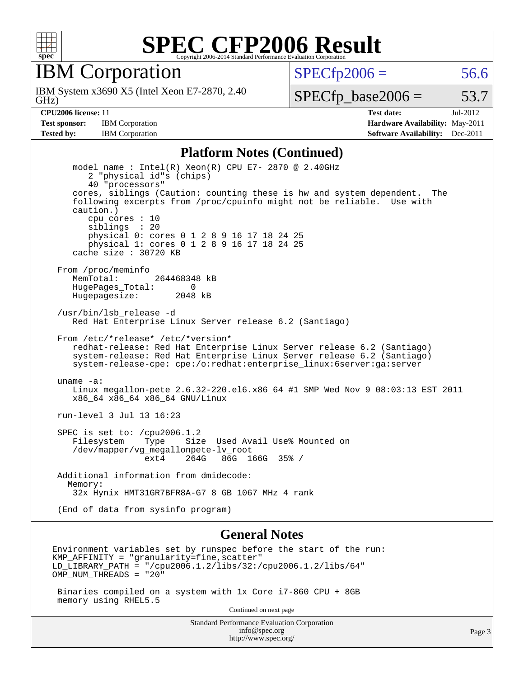

IBM Corporation

GHz) IBM System x3690 X5 (Intel Xeon E7-2870, 2.40  $SPECTp2006 = 56.6$ 

 $SPECTp\_base2006 = 53.7$ 

**[CPU2006 license:](http://www.spec.org/auto/cpu2006/Docs/result-fields.html#CPU2006license)** 11 **[Test date:](http://www.spec.org/auto/cpu2006/Docs/result-fields.html#Testdate)** Jul-2012 **[Test sponsor:](http://www.spec.org/auto/cpu2006/Docs/result-fields.html#Testsponsor)** IBM Corporation **[Hardware Availability:](http://www.spec.org/auto/cpu2006/Docs/result-fields.html#HardwareAvailability)** May-2011 **[Tested by:](http://www.spec.org/auto/cpu2006/Docs/result-fields.html#Testedby)** IBM Corporation **[Software Availability:](http://www.spec.org/auto/cpu2006/Docs/result-fields.html#SoftwareAvailability)** Dec-2011

#### **[Platform Notes \(Continued\)](http://www.spec.org/auto/cpu2006/Docs/result-fields.html#PlatformNotes)**

 model name : Intel(R) Xeon(R) CPU E7- 2870 @ 2.40GHz 2 "physical id"s (chips) 40 "processors" cores, siblings (Caution: counting these is hw and system dependent. The following excerpts from /proc/cpuinfo might not be reliable. Use with caution.) cpu cores : 10 siblings : 20 physical 0: cores 0 1 2 8 9 16 17 18 24 25 physical 1: cores 0 1 2 8 9 16 17 18 24 25 cache size : 30720 KB From /proc/meminfo MemTotal: 264468348 kB HugePages\_Total: 0<br>Hugepagesize: 2048 kB Hugepagesize: /usr/bin/lsb\_release -d Red Hat Enterprise Linux Server release 6.2 (Santiago) From /etc/\*release\* /etc/\*version\* redhat-release: Red Hat Enterprise Linux Server release 6.2 (Santiago) system-release: Red Hat Enterprise Linux Server release 6.2 (Santiago) system-release-cpe: cpe:/o:redhat:enterprise\_linux:6server:ga:server uname -a: Linux megallon-pete 2.6.32-220.el6.x86\_64 #1 SMP Wed Nov 9 08:03:13 EST 2011 x86\_64 x86\_64 x86\_64 GNU/Linux run-level 3 Jul 13 16:23 SPEC is set to: /cpu2006.1.2 Filesystem Type Size Used Avail Use% Mounted on /dev/mapper/vg\_megallonpete-lv\_root 86G 166G 35% / Additional information from dmidecode: Memory: 32x Hynix HMT31GR7BFR8A-G7 8 GB 1067 MHz 4 rank (End of data from sysinfo program)

#### **[General Notes](http://www.spec.org/auto/cpu2006/Docs/result-fields.html#GeneralNotes)**

Environment variables set by runspec before the start of the run:  $KMP$  AFFINITY = "granularity=fine, scatter" LD\_LIBRARY\_PATH = "/cpu2006.1.2/libs/32:/cpu2006.1.2/libs/64" OMP\_NUM\_THREADS = "20"

 Binaries compiled on a system with 1x Core i7-860 CPU + 8GB memory using RHEL5.5

Continued on next page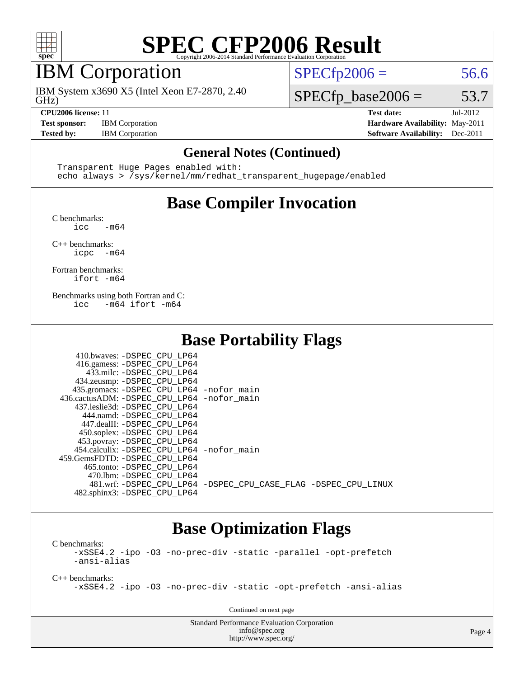

### IBM Corporation

GHz) IBM System x3690 X5 (Intel Xeon E7-2870, 2.40

**[CPU2006 license:](http://www.spec.org/auto/cpu2006/Docs/result-fields.html#CPU2006license)** 11 **[Test date:](http://www.spec.org/auto/cpu2006/Docs/result-fields.html#Testdate)** Jul-2012

 $SPECTp2006 = 56.6$ 

 $SPECTp\_base2006 = 53.7$ 

**[Test sponsor:](http://www.spec.org/auto/cpu2006/Docs/result-fields.html#Testsponsor)** IBM Corporation **[Hardware Availability:](http://www.spec.org/auto/cpu2006/Docs/result-fields.html#HardwareAvailability)** May-2011 **[Tested by:](http://www.spec.org/auto/cpu2006/Docs/result-fields.html#Testedby)** IBM Corporation **[Software Availability:](http://www.spec.org/auto/cpu2006/Docs/result-fields.html#SoftwareAvailability)** Dec-2011

#### **[General Notes \(Continued\)](http://www.spec.org/auto/cpu2006/Docs/result-fields.html#GeneralNotes)**

 Transparent Huge Pages enabled with: echo always > /sys/kernel/mm/redhat\_transparent\_hugepage/enabled

### **[Base Compiler Invocation](http://www.spec.org/auto/cpu2006/Docs/result-fields.html#BaseCompilerInvocation)**

[C benchmarks](http://www.spec.org/auto/cpu2006/Docs/result-fields.html#Cbenchmarks):

 $\frac{1}{2}$ cc  $-\text{m64}$ 

[C++ benchmarks:](http://www.spec.org/auto/cpu2006/Docs/result-fields.html#CXXbenchmarks) [icpc -m64](http://www.spec.org/cpu2006/results/res2012q3/cpu2006-20120716-23706.flags.html#user_CXXbase_intel_icpc_64bit_bedb90c1146cab66620883ef4f41a67e)

[Fortran benchmarks](http://www.spec.org/auto/cpu2006/Docs/result-fields.html#Fortranbenchmarks): [ifort -m64](http://www.spec.org/cpu2006/results/res2012q3/cpu2006-20120716-23706.flags.html#user_FCbase_intel_ifort_64bit_ee9d0fb25645d0210d97eb0527dcc06e)

[Benchmarks using both Fortran and C](http://www.spec.org/auto/cpu2006/Docs/result-fields.html#BenchmarksusingbothFortranandC): [icc -m64](http://www.spec.org/cpu2006/results/res2012q3/cpu2006-20120716-23706.flags.html#user_CC_FCbase_intel_icc_64bit_0b7121f5ab7cfabee23d88897260401c) [ifort -m64](http://www.spec.org/cpu2006/results/res2012q3/cpu2006-20120716-23706.flags.html#user_CC_FCbase_intel_ifort_64bit_ee9d0fb25645d0210d97eb0527dcc06e)

#### **[Base Portability Flags](http://www.spec.org/auto/cpu2006/Docs/result-fields.html#BasePortabilityFlags)**

| 410.bwaves: -DSPEC CPU LP64                 |                                                                |
|---------------------------------------------|----------------------------------------------------------------|
| 416.gamess: -DSPEC_CPU_LP64                 |                                                                |
| 433.milc: -DSPEC CPU LP64                   |                                                                |
| 434.zeusmp: -DSPEC_CPU_LP64                 |                                                                |
| 435.gromacs: -DSPEC_CPU_LP64 -nofor_main    |                                                                |
| 436.cactusADM: -DSPEC_CPU_LP64 -nofor main  |                                                                |
| 437.leslie3d: -DSPEC CPU LP64               |                                                                |
| 444.namd: - DSPEC_CPU LP64                  |                                                                |
| 447.dealII: -DSPEC CPU LP64                 |                                                                |
| 450.soplex: -DSPEC CPU LP64                 |                                                                |
| 453.povray: -DSPEC_CPU_LP64                 |                                                                |
| 454.calculix: - DSPEC CPU LP64 - nofor main |                                                                |
| 459. GemsFDTD: - DSPEC CPU LP64             |                                                                |
| 465.tonto: -DSPEC CPU LP64                  |                                                                |
| 470.1bm: - DSPEC CPU LP64                   |                                                                |
|                                             | 481.wrf: -DSPEC CPU_LP64 -DSPEC_CPU_CASE_FLAG -DSPEC_CPU_LINUX |
| 482.sphinx3: -DSPEC_CPU_LP64                |                                                                |

### **[Base Optimization Flags](http://www.spec.org/auto/cpu2006/Docs/result-fields.html#BaseOptimizationFlags)**

[C benchmarks](http://www.spec.org/auto/cpu2006/Docs/result-fields.html#Cbenchmarks): [-xSSE4.2](http://www.spec.org/cpu2006/results/res2012q3/cpu2006-20120716-23706.flags.html#user_CCbase_f-xSSE42_f91528193cf0b216347adb8b939d4107) [-ipo](http://www.spec.org/cpu2006/results/res2012q3/cpu2006-20120716-23706.flags.html#user_CCbase_f-ipo) [-O3](http://www.spec.org/cpu2006/results/res2012q3/cpu2006-20120716-23706.flags.html#user_CCbase_f-O3) [-no-prec-div](http://www.spec.org/cpu2006/results/res2012q3/cpu2006-20120716-23706.flags.html#user_CCbase_f-no-prec-div) [-static](http://www.spec.org/cpu2006/results/res2012q3/cpu2006-20120716-23706.flags.html#user_CCbase_f-static) [-parallel](http://www.spec.org/cpu2006/results/res2012q3/cpu2006-20120716-23706.flags.html#user_CCbase_f-parallel) [-opt-prefetch](http://www.spec.org/cpu2006/results/res2012q3/cpu2006-20120716-23706.flags.html#user_CCbase_f-opt-prefetch) [-ansi-alias](http://www.spec.org/cpu2006/results/res2012q3/cpu2006-20120716-23706.flags.html#user_CCbase_f-ansi-alias)

[C++ benchmarks:](http://www.spec.org/auto/cpu2006/Docs/result-fields.html#CXXbenchmarks) [-xSSE4.2](http://www.spec.org/cpu2006/results/res2012q3/cpu2006-20120716-23706.flags.html#user_CXXbase_f-xSSE42_f91528193cf0b216347adb8b939d4107) [-ipo](http://www.spec.org/cpu2006/results/res2012q3/cpu2006-20120716-23706.flags.html#user_CXXbase_f-ipo) [-O3](http://www.spec.org/cpu2006/results/res2012q3/cpu2006-20120716-23706.flags.html#user_CXXbase_f-O3) [-no-prec-div](http://www.spec.org/cpu2006/results/res2012q3/cpu2006-20120716-23706.flags.html#user_CXXbase_f-no-prec-div) [-static](http://www.spec.org/cpu2006/results/res2012q3/cpu2006-20120716-23706.flags.html#user_CXXbase_f-static) [-opt-prefetch](http://www.spec.org/cpu2006/results/res2012q3/cpu2006-20120716-23706.flags.html#user_CXXbase_f-opt-prefetch) [-ansi-alias](http://www.spec.org/cpu2006/results/res2012q3/cpu2006-20120716-23706.flags.html#user_CXXbase_f-ansi-alias)

Continued on next page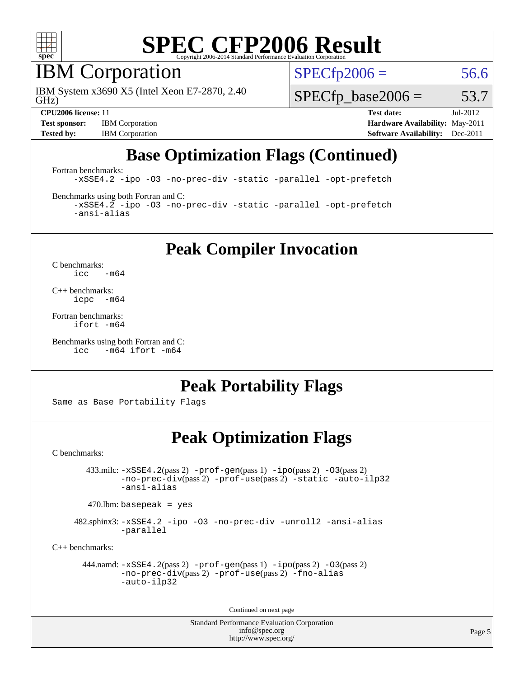

IBM Corporation

GHz) IBM System x3690 X5 (Intel Xeon E7-2870, 2.40  $SPECTp2006 = 56.6$ 

 $SPECTp\_base2006 = 53.7$ 

**[Test sponsor:](http://www.spec.org/auto/cpu2006/Docs/result-fields.html#Testsponsor)** IBM Corporation **[Hardware Availability:](http://www.spec.org/auto/cpu2006/Docs/result-fields.html#HardwareAvailability)** May-2011

**[CPU2006 license:](http://www.spec.org/auto/cpu2006/Docs/result-fields.html#CPU2006license)** 11 **[Test date:](http://www.spec.org/auto/cpu2006/Docs/result-fields.html#Testdate)** Jul-2012 **[Tested by:](http://www.spec.org/auto/cpu2006/Docs/result-fields.html#Testedby)** IBM Corporation **[Software Availability:](http://www.spec.org/auto/cpu2006/Docs/result-fields.html#SoftwareAvailability)** Dec-2011

### **[Base Optimization Flags \(Continued\)](http://www.spec.org/auto/cpu2006/Docs/result-fields.html#BaseOptimizationFlags)**

[Fortran benchmarks](http://www.spec.org/auto/cpu2006/Docs/result-fields.html#Fortranbenchmarks):

[-xSSE4.2](http://www.spec.org/cpu2006/results/res2012q3/cpu2006-20120716-23706.flags.html#user_FCbase_f-xSSE42_f91528193cf0b216347adb8b939d4107) [-ipo](http://www.spec.org/cpu2006/results/res2012q3/cpu2006-20120716-23706.flags.html#user_FCbase_f-ipo) [-O3](http://www.spec.org/cpu2006/results/res2012q3/cpu2006-20120716-23706.flags.html#user_FCbase_f-O3) [-no-prec-div](http://www.spec.org/cpu2006/results/res2012q3/cpu2006-20120716-23706.flags.html#user_FCbase_f-no-prec-div) [-static](http://www.spec.org/cpu2006/results/res2012q3/cpu2006-20120716-23706.flags.html#user_FCbase_f-static) [-parallel](http://www.spec.org/cpu2006/results/res2012q3/cpu2006-20120716-23706.flags.html#user_FCbase_f-parallel) [-opt-prefetch](http://www.spec.org/cpu2006/results/res2012q3/cpu2006-20120716-23706.flags.html#user_FCbase_f-opt-prefetch)

[Benchmarks using both Fortran and C](http://www.spec.org/auto/cpu2006/Docs/result-fields.html#BenchmarksusingbothFortranandC):

[-xSSE4.2](http://www.spec.org/cpu2006/results/res2012q3/cpu2006-20120716-23706.flags.html#user_CC_FCbase_f-xSSE42_f91528193cf0b216347adb8b939d4107) [-ipo](http://www.spec.org/cpu2006/results/res2012q3/cpu2006-20120716-23706.flags.html#user_CC_FCbase_f-ipo) [-O3](http://www.spec.org/cpu2006/results/res2012q3/cpu2006-20120716-23706.flags.html#user_CC_FCbase_f-O3) [-no-prec-div](http://www.spec.org/cpu2006/results/res2012q3/cpu2006-20120716-23706.flags.html#user_CC_FCbase_f-no-prec-div) [-static](http://www.spec.org/cpu2006/results/res2012q3/cpu2006-20120716-23706.flags.html#user_CC_FCbase_f-static) [-parallel](http://www.spec.org/cpu2006/results/res2012q3/cpu2006-20120716-23706.flags.html#user_CC_FCbase_f-parallel) [-opt-prefetch](http://www.spec.org/cpu2006/results/res2012q3/cpu2006-20120716-23706.flags.html#user_CC_FCbase_f-opt-prefetch) [-ansi-alias](http://www.spec.org/cpu2006/results/res2012q3/cpu2006-20120716-23706.flags.html#user_CC_FCbase_f-ansi-alias)

**[Peak Compiler Invocation](http://www.spec.org/auto/cpu2006/Docs/result-fields.html#PeakCompilerInvocation)**

[C benchmarks](http://www.spec.org/auto/cpu2006/Docs/result-fields.html#Cbenchmarks):  $\text{icc}$  -m64

[C++ benchmarks:](http://www.spec.org/auto/cpu2006/Docs/result-fields.html#CXXbenchmarks) [icpc -m64](http://www.spec.org/cpu2006/results/res2012q3/cpu2006-20120716-23706.flags.html#user_CXXpeak_intel_icpc_64bit_bedb90c1146cab66620883ef4f41a67e)

[Fortran benchmarks](http://www.spec.org/auto/cpu2006/Docs/result-fields.html#Fortranbenchmarks): [ifort -m64](http://www.spec.org/cpu2006/results/res2012q3/cpu2006-20120716-23706.flags.html#user_FCpeak_intel_ifort_64bit_ee9d0fb25645d0210d97eb0527dcc06e)

[Benchmarks using both Fortran and C](http://www.spec.org/auto/cpu2006/Docs/result-fields.html#BenchmarksusingbothFortranandC): [icc -m64](http://www.spec.org/cpu2006/results/res2012q3/cpu2006-20120716-23706.flags.html#user_CC_FCpeak_intel_icc_64bit_0b7121f5ab7cfabee23d88897260401c) [ifort -m64](http://www.spec.org/cpu2006/results/res2012q3/cpu2006-20120716-23706.flags.html#user_CC_FCpeak_intel_ifort_64bit_ee9d0fb25645d0210d97eb0527dcc06e)

#### **[Peak Portability Flags](http://www.spec.org/auto/cpu2006/Docs/result-fields.html#PeakPortabilityFlags)**

Same as Base Portability Flags

### **[Peak Optimization Flags](http://www.spec.org/auto/cpu2006/Docs/result-fields.html#PeakOptimizationFlags)**

[C benchmarks](http://www.spec.org/auto/cpu2006/Docs/result-fields.html#Cbenchmarks):

 433.milc: [-xSSE4.2](http://www.spec.org/cpu2006/results/res2012q3/cpu2006-20120716-23706.flags.html#user_peakPASS2_CFLAGSPASS2_LDFLAGS433_milc_f-xSSE42_f91528193cf0b216347adb8b939d4107)(pass 2) [-prof-gen](http://www.spec.org/cpu2006/results/res2012q3/cpu2006-20120716-23706.flags.html#user_peakPASS1_CFLAGSPASS1_LDFLAGS433_milc_prof_gen_e43856698f6ca7b7e442dfd80e94a8fc)(pass 1) [-ipo](http://www.spec.org/cpu2006/results/res2012q3/cpu2006-20120716-23706.flags.html#user_peakPASS2_CFLAGSPASS2_LDFLAGS433_milc_f-ipo)(pass 2) [-O3](http://www.spec.org/cpu2006/results/res2012q3/cpu2006-20120716-23706.flags.html#user_peakPASS2_CFLAGSPASS2_LDFLAGS433_milc_f-O3)(pass 2) [-no-prec-div](http://www.spec.org/cpu2006/results/res2012q3/cpu2006-20120716-23706.flags.html#user_peakPASS2_CFLAGSPASS2_LDFLAGS433_milc_f-no-prec-div)(pass 2) [-prof-use](http://www.spec.org/cpu2006/results/res2012q3/cpu2006-20120716-23706.flags.html#user_peakPASS2_CFLAGSPASS2_LDFLAGS433_milc_prof_use_bccf7792157ff70d64e32fe3e1250b55)(pass 2) [-static](http://www.spec.org/cpu2006/results/res2012q3/cpu2006-20120716-23706.flags.html#user_peakOPTIMIZE433_milc_f-static) [-auto-ilp32](http://www.spec.org/cpu2006/results/res2012q3/cpu2006-20120716-23706.flags.html#user_peakCOPTIMIZE433_milc_f-auto-ilp32) [-ansi-alias](http://www.spec.org/cpu2006/results/res2012q3/cpu2006-20120716-23706.flags.html#user_peakCOPTIMIZE433_milc_f-ansi-alias)

 $470.$ lbm: basepeak = yes

 482.sphinx3: [-xSSE4.2](http://www.spec.org/cpu2006/results/res2012q3/cpu2006-20120716-23706.flags.html#user_peakOPTIMIZE482_sphinx3_f-xSSE42_f91528193cf0b216347adb8b939d4107) [-ipo](http://www.spec.org/cpu2006/results/res2012q3/cpu2006-20120716-23706.flags.html#user_peakOPTIMIZE482_sphinx3_f-ipo) [-O3](http://www.spec.org/cpu2006/results/res2012q3/cpu2006-20120716-23706.flags.html#user_peakOPTIMIZE482_sphinx3_f-O3) [-no-prec-div](http://www.spec.org/cpu2006/results/res2012q3/cpu2006-20120716-23706.flags.html#user_peakOPTIMIZE482_sphinx3_f-no-prec-div) [-unroll2](http://www.spec.org/cpu2006/results/res2012q3/cpu2006-20120716-23706.flags.html#user_peakCOPTIMIZE482_sphinx3_f-unroll_784dae83bebfb236979b41d2422d7ec2) [-ansi-alias](http://www.spec.org/cpu2006/results/res2012q3/cpu2006-20120716-23706.flags.html#user_peakCOPTIMIZE482_sphinx3_f-ansi-alias) [-parallel](http://www.spec.org/cpu2006/results/res2012q3/cpu2006-20120716-23706.flags.html#user_peakCOPTIMIZE482_sphinx3_f-parallel)

[C++ benchmarks:](http://www.spec.org/auto/cpu2006/Docs/result-fields.html#CXXbenchmarks)

 444.namd: [-xSSE4.2](http://www.spec.org/cpu2006/results/res2012q3/cpu2006-20120716-23706.flags.html#user_peakPASS2_CXXFLAGSPASS2_LDFLAGS444_namd_f-xSSE42_f91528193cf0b216347adb8b939d4107)(pass 2) [-prof-gen](http://www.spec.org/cpu2006/results/res2012q3/cpu2006-20120716-23706.flags.html#user_peakPASS1_CXXFLAGSPASS1_LDFLAGS444_namd_prof_gen_e43856698f6ca7b7e442dfd80e94a8fc)(pass 1) [-ipo](http://www.spec.org/cpu2006/results/res2012q3/cpu2006-20120716-23706.flags.html#user_peakPASS2_CXXFLAGSPASS2_LDFLAGS444_namd_f-ipo)(pass 2) [-O3](http://www.spec.org/cpu2006/results/res2012q3/cpu2006-20120716-23706.flags.html#user_peakPASS2_CXXFLAGSPASS2_LDFLAGS444_namd_f-O3)(pass 2) [-no-prec-div](http://www.spec.org/cpu2006/results/res2012q3/cpu2006-20120716-23706.flags.html#user_peakPASS2_CXXFLAGSPASS2_LDFLAGS444_namd_f-no-prec-div)(pass 2) [-prof-use](http://www.spec.org/cpu2006/results/res2012q3/cpu2006-20120716-23706.flags.html#user_peakPASS2_CXXFLAGSPASS2_LDFLAGS444_namd_prof_use_bccf7792157ff70d64e32fe3e1250b55)(pass 2) [-fno-alias](http://www.spec.org/cpu2006/results/res2012q3/cpu2006-20120716-23706.flags.html#user_peakCXXOPTIMIZEOPTIMIZE444_namd_f-no-alias_694e77f6c5a51e658e82ccff53a9e63a) [-auto-ilp32](http://www.spec.org/cpu2006/results/res2012q3/cpu2006-20120716-23706.flags.html#user_peakCXXOPTIMIZE444_namd_f-auto-ilp32)

Continued on next page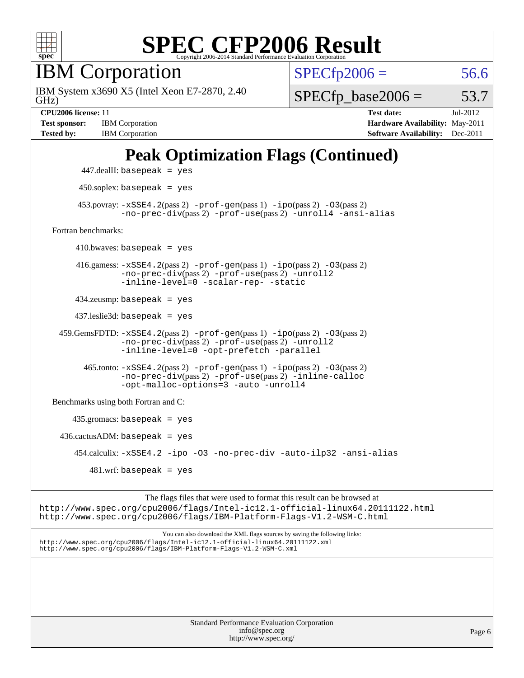

IBM Corporation

GHz) IBM System x3690 X5 (Intel Xeon E7-2870, 2.40  $SPECTp2006 = 56.6$ 

 $SPECTp\_base2006 = 53.7$ 

Page 6

**[Test sponsor:](http://www.spec.org/auto/cpu2006/Docs/result-fields.html#Testsponsor)** IBM Corporation **[Hardware Availability:](http://www.spec.org/auto/cpu2006/Docs/result-fields.html#HardwareAvailability)** May-2011 **[Tested by:](http://www.spec.org/auto/cpu2006/Docs/result-fields.html#Testedby)** IBM Corporation **[Software Availability:](http://www.spec.org/auto/cpu2006/Docs/result-fields.html#SoftwareAvailability)** Dec-2011

**[CPU2006 license:](http://www.spec.org/auto/cpu2006/Docs/result-fields.html#CPU2006license)** 11 **[Test date:](http://www.spec.org/auto/cpu2006/Docs/result-fields.html#Testdate)** Jul-2012

### **[Peak Optimization Flags \(Continued\)](http://www.spec.org/auto/cpu2006/Docs/result-fields.html#PeakOptimizationFlags)**

```
Standard Performance Evaluation Corporation
          447.dealII: basepeak = yes
          450.soplex: basepeak = yes
        453.povray: -xSSE4. 2(pass 2)-prof-gen-ipo(pass 2) -03(pass 2)
                   -no-prec-div(pass 2) -prof-use(pass 2) -unroll4 -ansi-alias
   Fortran benchmarks: 
        410.bwaves: basepeak = yes 416.gamess: -xSSE4.2(pass 2) -prof-gen(pass 1) -ipo(pass 2) -O3(pass 2)
                   -no-prec-div(pass 2) -prof-use(pass 2) -unroll2
                   -inline-level=0 -scalar-rep- -static
         434.zeusmp: basepeak = yes
         437.leslie3d: basepeak = yes
     459.GemsFDTD: -xSSE4.2(pass 2) -prof-gen(pass 1) -ipo(pass 2) -O3(pass 2)
                   -no-prec-div(pass 2) -prof-use(pass 2) -unroll2
                   -inline-level=0 -opt-prefetch -parallel
          465.tonto: -xSSE4. 2(pass 2)-prof-gen-ipo-O3(pass 2)
                   -no-prec-div(pass 2) -prof-use(pass 2) -inline-calloc
                   -opt-malloc-options=3-auto-unroll4
   Benchmarks using both Fortran and C: 
        435.gromacs: basepeak = yes
    436.cactusADM:basepeak = yes 454.calculix: -xSSE4.2 -ipo -O3 -no-prec-div -auto-ilp32 -ansi-alias
            481.wrf: basepeak = yes
                        The flags files that were used to format this result can be browsed at
http://www.spec.org/cpu2006/flags/Intel-ic12.1-official-linux64.20111122.html
http://www.spec.org/cpu2006/flags/IBM-Platform-Flags-V1.2-WSM-C.html
                            You can also download the XML flags sources by saving the following links:
http://www.spec.org/cpu2006/flags/Intel-ic12.1-official-linux64.20111122.xml
http://www.spec.org/cpu2006/flags/IBM-Platform-Flags-V1.2-WSM-C.xml
```
[info@spec.org](mailto:info@spec.org) <http://www.spec.org/>